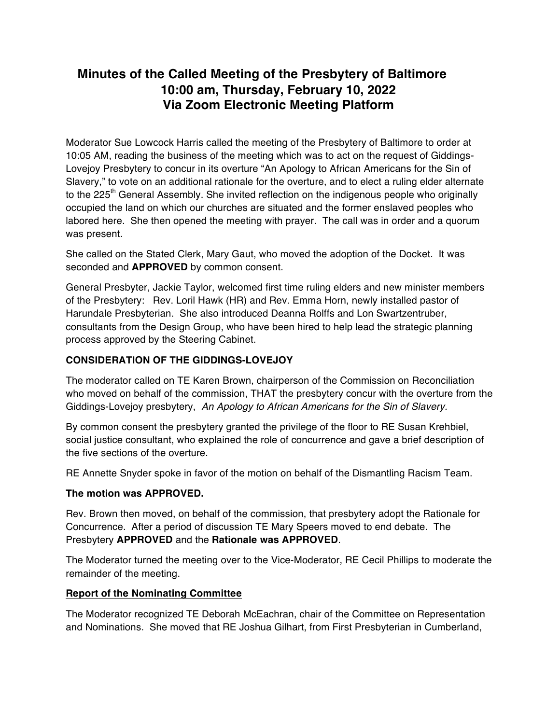# **Minutes of the Called Meeting of the Presbytery of Baltimore 10:00 am, Thursday, February 10, 2022 Via Zoom Electronic Meeting Platform**

Moderator Sue Lowcock Harris called the meeting of the Presbytery of Baltimore to order at 10:05 AM, reading the business of the meeting which was to act on the request of Giddings-Lovejoy Presbytery to concur in its overture "An Apology to African Americans for the Sin of Slavery," to vote on an additional rationale for the overture, and to elect a ruling elder alternate to the 225<sup>th</sup> General Assembly. She invited reflection on the indigenous people who originally occupied the land on which our churches are situated and the former enslaved peoples who labored here. She then opened the meeting with prayer. The call was in order and a quorum was present.

She called on the Stated Clerk, Mary Gaut, who moved the adoption of the Docket. It was seconded and **APPROVED** by common consent.

General Presbyter, Jackie Taylor, welcomed first time ruling elders and new minister members of the Presbytery: Rev. Loril Hawk (HR) and Rev. Emma Horn, newly installed pastor of Harundale Presbyterian. She also introduced Deanna Rolffs and Lon Swartzentruber, consultants from the Design Group, who have been hired to help lead the strategic planning process approved by the Steering Cabinet.

# **CONSIDERATION OF THE GIDDINGS-LOVEJOY**

The moderator called on TE Karen Brown, chairperson of the Commission on Reconciliation who moved on behalf of the commission, THAT the presbytery concur with the overture from the Giddings-Lovejoy presbytery, *An Apology to African Americans for the Sin of Slavery.*

By common consent the presbytery granted the privilege of the floor to RE Susan Krehbiel, social justice consultant, who explained the role of concurrence and gave a brief description of the five sections of the overture.

RE Annette Snyder spoke in favor of the motion on behalf of the Dismantling Racism Team.

## **The motion was APPROVED.**

Rev. Brown then moved, on behalf of the commission, that presbytery adopt the Rationale for Concurrence. After a period of discussion TE Mary Speers moved to end debate. The Presbytery **APPROVED** and the **Rationale was APPROVED**.

The Moderator turned the meeting over to the Vice-Moderator, RE Cecil Phillips to moderate the remainder of the meeting.

## **Report of the Nominating Committee**

The Moderator recognized TE Deborah McEachran, chair of the Committee on Representation and Nominations. She moved that RE Joshua Gilhart, from First Presbyterian in Cumberland,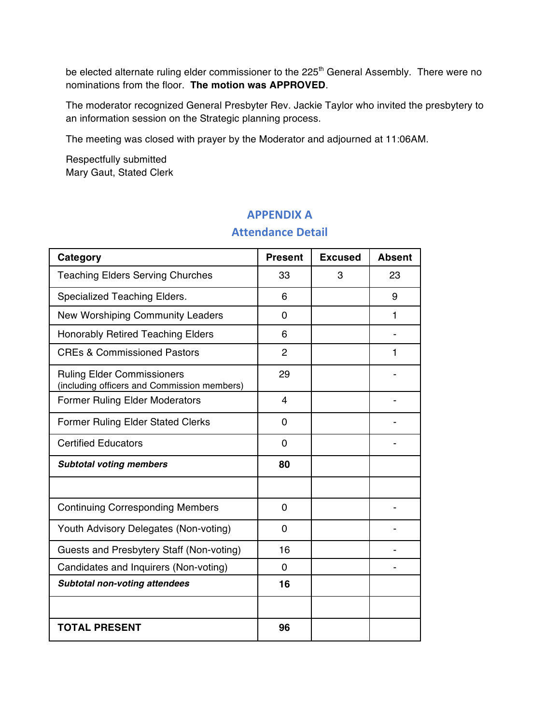be elected alternate ruling elder commissioner to the 225<sup>th</sup> General Assembly. There were no nominations from the floor. **The motion was APPROVED**.

The moderator recognized General Presbyter Rev. Jackie Taylor who invited the presbytery to an information session on the Strategic planning process.

The meeting was closed with prayer by the Moderator and adjourned at 11:06AM.

Respectfully submitted Mary Gaut, Stated Clerk

# **APPENDIX A**

# **Category Present Excused Absent** Teaching Elders Serving Churches 1 33 3 3 23 Specialized Teaching Elders. **1999 6 1** 9 New Worshiping Community Leaders | 0 | 1 Honorably Retired Teaching Elders 6 - CREs & Commissioned Pastors 2 2 2 Ruling Elder Commissioners (including officers and Commission members) 29 | | | Former Ruling Elder Moderators 4 - Former Ruling Elder Stated Clerks 0 - Certified Educators **Department Control** 0 **Subtotal voting members 180** Continuing Corresponding Members 0 - Youth Advisory Delegates (Non-voting) 0 - Guests and Presbytery Staff (Non-voting) | 16 Candidates and Inquirers (Non-voting) 0 - *Subtotal non-voting attendees* **16**

**TOTAL PRESENT 96**

# **Attendance Detail**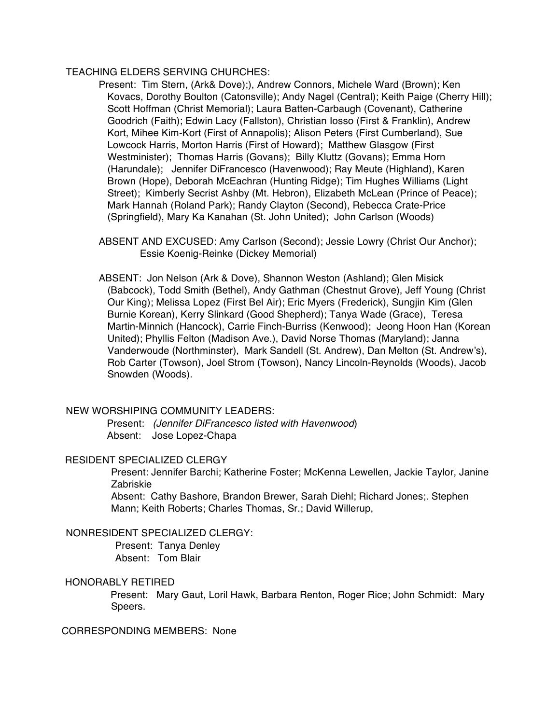## TEACHING ELDERS SERVING CHURCHES:

Present: Tim Stern, (Ark& Dove);), Andrew Connors, Michele Ward (Brown); Ken Kovacs, Dorothy Boulton (Catonsville); Andy Nagel (Central); Keith Paige (Cherry Hill); Scott Hoffman (Christ Memorial); Laura Batten-Carbaugh (Covenant), Catherine Goodrich (Faith); Edwin Lacy (Fallston), Christian Iosso (First & Franklin), Andrew Kort, Mihee Kim-Kort (First of Annapolis); Alison Peters (First Cumberland), Sue Lowcock Harris, Morton Harris (First of Howard); Matthew Glasgow (First Westminister); Thomas Harris (Govans); Billy Kluttz (Govans); Emma Horn (Harundale); Jennifer DiFrancesco (Havenwood); Ray Meute (Highland), Karen Brown (Hope), Deborah McEachran (Hunting Ridge); Tim Hughes Williams (Light Street); Kimberly Secrist Ashby (Mt. Hebron), Elizabeth McLean (Prince of Peace); Mark Hannah (Roland Park); Randy Clayton (Second), Rebecca Crate-Price (Springfield), Mary Ka Kanahan (St. John United); John Carlson (Woods)

ABSENT AND EXCUSED: Amy Carlson (Second); Jessie Lowry (Christ Our Anchor); Essie Koenig-Reinke (Dickey Memorial)

ABSENT: Jon Nelson (Ark & Dove), Shannon Weston (Ashland); Glen Misick (Babcock), Todd Smith (Bethel), Andy Gathman (Chestnut Grove), Jeff Young (Christ Our King); Melissa Lopez (First Bel Air); Eric Myers (Frederick), Sungjin Kim (Glen Burnie Korean), Kerry Slinkard (Good Shepherd); Tanya Wade (Grace), Teresa Martin-Minnich (Hancock), Carrie Finch-Burriss (Kenwood); Jeong Hoon Han (Korean United); Phyllis Felton (Madison Ave.), David Norse Thomas (Maryland); Janna Vanderwoude (Northminster), Mark Sandell (St. Andrew), Dan Melton (St. Andrew's), Rob Carter (Towson), Joel Strom (Towson), Nancy Lincoln-Reynolds (Woods), Jacob Snowden (Woods).

#### NEW WORSHIPING COMMUNITY LEADERS:

Present: *(Jennifer DiFrancesco listed with Havenwood*) Absent: Jose Lopez-Chapa

#### RESIDENT SPECIALIZED CLERGY

Present: Jennifer Barchi; Katherine Foster; McKenna Lewellen, Jackie Taylor, Janine Zabriskie

Absent: Cathy Bashore, Brandon Brewer, Sarah Diehl; Richard Jones;. Stephen Mann; Keith Roberts; Charles Thomas, Sr.; David Willerup,

### NONRESIDENT SPECIALIZED CLERGY:

Present: Tanya Denley Absent: Tom Blair

#### HONORABLY RETIRED

Present: Mary Gaut, Loril Hawk, Barbara Renton, Roger Rice; John Schmidt: Mary Speers.

## CORRESPONDING MEMBERS: None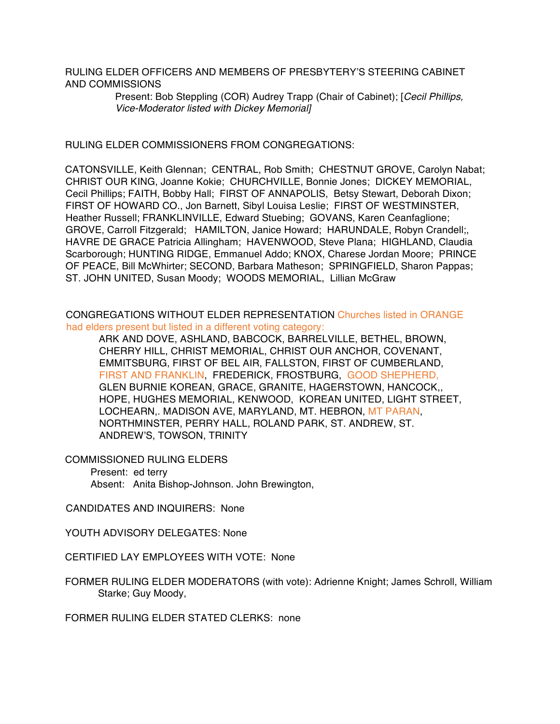RULING ELDER OFFICERS AND MEMBERS OF PRESBYTERY'S STEERING CABINET AND COMMISSIONS

> Present: Bob Steppling (COR) Audrey Trapp (Chair of Cabinet); [*Cecil Phillips, Vice-Moderator listed with Dickey Memorial]*

RULING ELDER COMMISSIONERS FROM CONGREGATIONS:

CATONSVILLE, Keith Glennan; CENTRAL, Rob Smith; CHESTNUT GROVE, Carolyn Nabat; CHRIST OUR KING, Joanne Kokie; CHURCHVILLE, Bonnie Jones; DICKEY MEMORIAL, Cecil Phillips; FAITH, Bobby Hall; FIRST OF ANNAPOLIS, Betsy Stewart, Deborah Dixon; FIRST OF HOWARD CO., Jon Barnett, Sibyl Louisa Leslie; FIRST OF WESTMINSTER, Heather Russell; FRANKLINVILLE, Edward Stuebing; GOVANS, Karen Ceanfaglione; GROVE, Carroll Fitzgerald; HAMILTON, Janice Howard; HARUNDALE, Robyn Crandell;, HAVRE DE GRACE Patricia Allingham; HAVENWOOD, Steve Plana; HIGHLAND, Claudia Scarborough; HUNTING RIDGE, Emmanuel Addo; KNOX, Charese Jordan Moore; PRINCE OF PEACE, Bill McWhirter; SECOND, Barbara Matheson; SPRINGFIELD, Sharon Pappas; ST. JOHN UNITED, Susan Moody; WOODS MEMORIAL, Lillian McGraw

CONGREGATIONS WITHOUT ELDER REPRESENTATION Churches listed in ORANGE had elders present but listed in a different voting category:

ARK AND DOVE, ASHLAND, BABCOCK, BARRELVILLE, BETHEL, BROWN, CHERRY HILL, CHRIST MEMORIAL, CHRIST OUR ANCHOR, COVENANT, EMMITSBURG, FIRST OF BEL AIR, FALLSTON, FIRST OF CUMBERLAND, FIRST AND FRANKLIN, FREDERICK, FROSTBURG, GOOD SHEPHERD, GLEN BURNIE KOREAN, GRACE, GRANITE, HAGERSTOWN, HANCOCK,, HOPE, HUGHES MEMORIAL, KENWOOD, KOREAN UNITED, LIGHT STREET, LOCHEARN,. MADISON AVE, MARYLAND, MT. HEBRON, MT PARAN, NORTHMINSTER, PERRY HALL, ROLAND PARK, ST. ANDREW, ST. ANDREW'S, TOWSON, TRINITY

COMMISSIONED RULING ELDERS

Present: ed terry

Absent: Anita Bishop-Johnson. John Brewington,

CANDIDATES AND INQUIRERS: None

YOUTH ADVISORY DELEGATES: None

CERTIFIED LAY EMPLOYEES WITH VOTE: None

FORMER RULING ELDER MODERATORS (with vote): Adrienne Knight; James Schroll, William Starke; Guy Moody,

FORMER RULING ELDER STATED CLERKS: none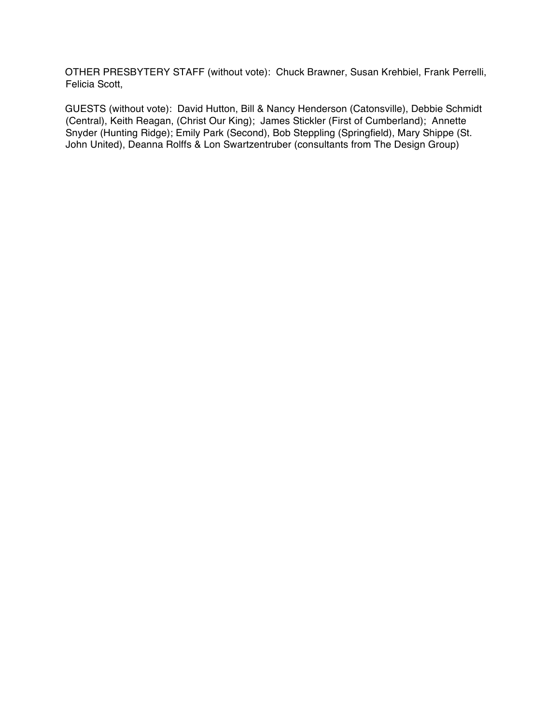OTHER PRESBYTERY STAFF (without vote): Chuck Brawner, Susan Krehbiel, Frank Perrelli, Felicia Scott,

GUESTS (without vote): David Hutton, Bill & Nancy Henderson (Catonsville), Debbie Schmidt (Central), Keith Reagan, (Christ Our King); James Stickler (First of Cumberland); Annette Snyder (Hunting Ridge); Emily Park (Second), Bob Steppling (Springfield), Mary Shippe (St. John United), Deanna Rolffs & Lon Swartzentruber (consultants from The Design Group)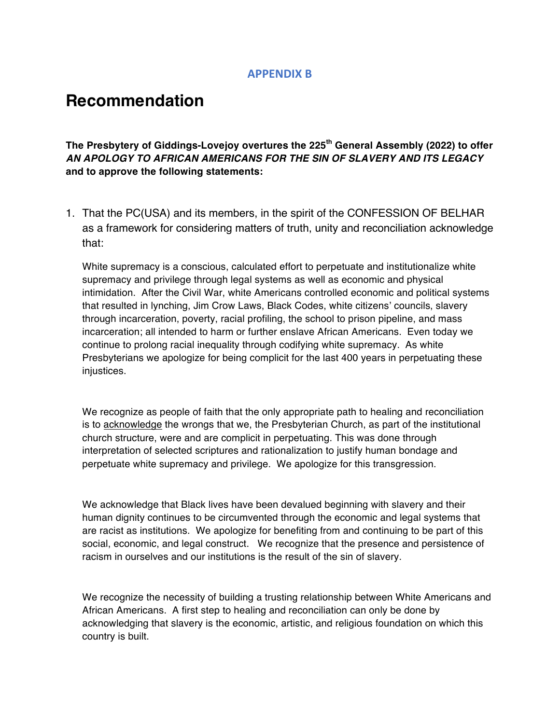# **APPENDIX B**

# **Recommendation**

**The Presbytery of Giddings-Lovejoy overtures the 225th General Assembly (2022) to offer**  *AN APOLOGY TO AFRICAN AMERICANS FOR THE SIN OF SLAVERY AND ITS LEGACY*  **and to approve the following statements:**

1. That the PC(USA) and its members, in the spirit of the CONFESSION OF BELHAR as a framework for considering matters of truth, unity and reconciliation acknowledge that:

White supremacy is a conscious, calculated effort to perpetuate and institutionalize white supremacy and privilege through legal systems as well as economic and physical intimidation. After the Civil War, white Americans controlled economic and political systems that resulted in lynching, Jim Crow Laws, Black Codes, white citizens' councils, slavery through incarceration, poverty, racial profiling, the school to prison pipeline, and mass incarceration; all intended to harm or further enslave African Americans. Even today we continue to prolong racial inequality through codifying white supremacy. As white Presbyterians we apologize for being complicit for the last 400 years in perpetuating these injustices.

We recognize as people of faith that the only appropriate path to healing and reconciliation is to acknowledge the wrongs that we, the Presbyterian Church, as part of the institutional church structure, were and are complicit in perpetuating. This was done through interpretation of selected scriptures and rationalization to justify human bondage and perpetuate white supremacy and privilege. We apologize for this transgression.

We acknowledge that Black lives have been devalued beginning with slavery and their human dignity continues to be circumvented through the economic and legal systems that are racist as institutions. We apologize for benefiting from and continuing to be part of this social, economic, and legal construct. We recognize that the presence and persistence of racism in ourselves and our institutions is the result of the sin of slavery.

We recognize the necessity of building a trusting relationship between White Americans and African Americans. A first step to healing and reconciliation can only be done by acknowledging that slavery is the economic, artistic, and religious foundation on which this country is built.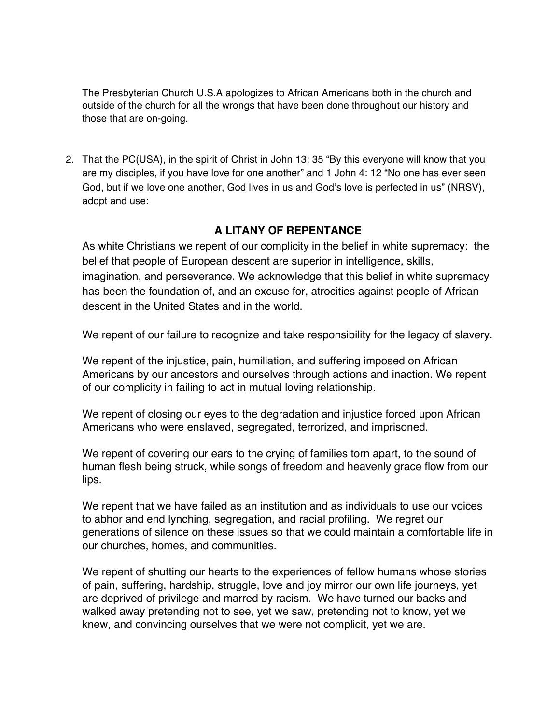The Presbyterian Church U.S.A apologizes to African Americans both in the church and outside of the church for all the wrongs that have been done throughout our history and those that are on-going.

2. That the PC(USA), in the spirit of Christ in John 13: 35 "By this everyone will know that you are my disciples, if you have love for one another" and 1 John 4: 12 "No one has ever seen God, but if we love one another, God lives in us and God's love is perfected in us" (NRSV), adopt and use:

# **A LITANY OF REPENTANCE**

As white Christians we repent of our complicity in the belief in white supremacy: the belief that people of European descent are superior in intelligence, skills, imagination, and perseverance. We acknowledge that this belief in white supremacy has been the foundation of, and an excuse for, atrocities against people of African descent in the United States and in the world.

We repent of our failure to recognize and take responsibility for the legacy of slavery.

We repent of the injustice, pain, humiliation, and suffering imposed on African Americans by our ancestors and ourselves through actions and inaction. We repent of our complicity in failing to act in mutual loving relationship.

We repent of closing our eyes to the degradation and injustice forced upon African Americans who were enslaved, segregated, terrorized, and imprisoned.

We repent of covering our ears to the crying of families torn apart, to the sound of human flesh being struck, while songs of freedom and heavenly grace flow from our lips.

We repent that we have failed as an institution and as individuals to use our voices to abhor and end lynching, segregation, and racial profiling. We regret our generations of silence on these issues so that we could maintain a comfortable life in our churches, homes, and communities.

We repent of shutting our hearts to the experiences of fellow humans whose stories of pain, suffering, hardship, struggle, love and joy mirror our own life journeys, yet are deprived of privilege and marred by racism. We have turned our backs and walked away pretending not to see, yet we saw, pretending not to know, yet we knew, and convincing ourselves that we were not complicit, yet we are.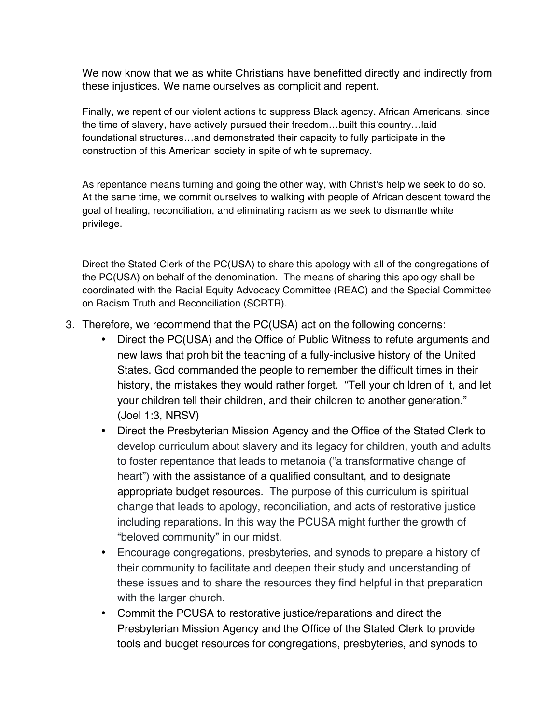We now know that we as white Christians have benefitted directly and indirectly from these injustices. We name ourselves as complicit and repent.

Finally, we repent of our violent actions to suppress Black agency. African Americans, since the time of slavery, have actively pursued their freedom…built this country…laid foundational structures…and demonstrated their capacity to fully participate in the construction of this American society in spite of white supremacy.

As repentance means turning and going the other way, with Christ's help we seek to do so. At the same time, we commit ourselves to walking with people of African descent toward the goal of healing, reconciliation, and eliminating racism as we seek to dismantle white privilege.

Direct the Stated Clerk of the PC(USA) to share this apology with all of the congregations of the PC(USA) on behalf of the denomination. The means of sharing this apology shall be coordinated with the Racial Equity Advocacy Committee (REAC) and the Special Committee on Racism Truth and Reconciliation (SCRTR).

- 3. Therefore, we recommend that the PC(USA) act on the following concerns:
	- Direct the PC(USA) and the Office of Public Witness to refute arguments and new laws that prohibit the teaching of a fully-inclusive history of the United States. God commanded the people to remember the difficult times in their history, the mistakes they would rather forget. "Tell your children of it, and let your children tell their children, and their children to another generation." (Joel 1:3, NRSV)
	- Direct the Presbyterian Mission Agency and the Office of the Stated Clerk to develop curriculum about slavery and its legacy for children, youth and adults to foster repentance that leads to metanoia ("a transformative change of heart") with the assistance of a qualified consultant, and to designate appropriate budget resources. The purpose of this curriculum is spiritual change that leads to apology, reconciliation, and acts of restorative justice including reparations. In this way the PCUSA might further the growth of "beloved community" in our midst.
	- Encourage congregations, presbyteries, and synods to prepare a history of their community to facilitate and deepen their study and understanding of these issues and to share the resources they find helpful in that preparation with the larger church.
	- Commit the PCUSA to restorative justice/reparations and direct the Presbyterian Mission Agency and the Office of the Stated Clerk to provide tools and budget resources for congregations, presbyteries, and synods to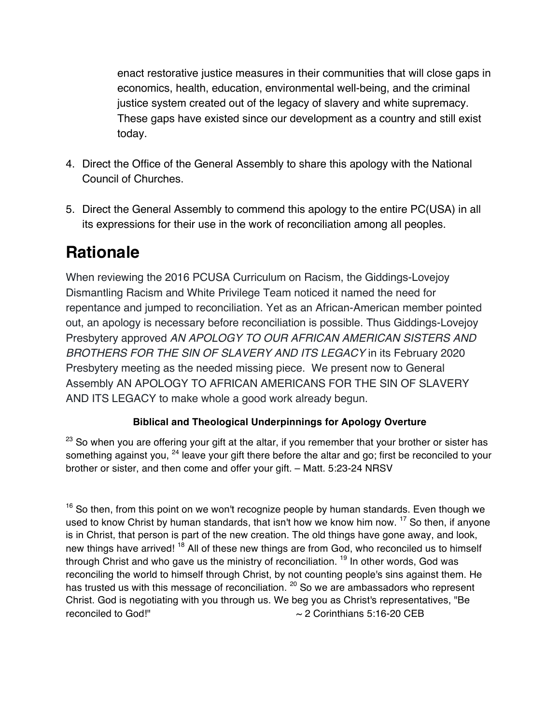enact restorative justice measures in their communities that will close gaps in economics, health, education, environmental well-being, and the criminal justice system created out of the legacy of slavery and white supremacy. These gaps have existed since our development as a country and still exist today.

- 4. Direct the Office of the General Assembly to share this apology with the National Council of Churches.
- 5. Direct the General Assembly to commend this apology to the entire PC(USA) in all its expressions for their use in the work of reconciliation among all peoples.

# **Rationale**

When reviewing the 2016 PCUSA Curriculum on Racism, the Giddings-Lovejoy Dismantling Racism and White Privilege Team noticed it named the need for repentance and jumped to reconciliation. Yet as an African-American member pointed out, an apology is necessary before reconciliation is possible. Thus Giddings-Lovejoy Presbytery approved *AN APOLOGY TO OUR AFRICAN AMERICAN SISTERS AND BROTHERS FOR THE SIN OF SLAVERY AND ITS LEGACY* in its February 2020 Presbytery meeting as the needed missing piece. We present now to General Assembly AN APOLOGY TO AFRICAN AMERICANS FOR THE SIN OF SLAVERY AND ITS LEGACY to make whole a good work already begun.

# **Biblical and Theological Underpinnings for Apology Overture**

 $23$  So when you are offering your gift at the altar, if you remember that your brother or sister has something against you, <sup>24</sup> leave your gift there before the altar and go; first be reconciled to your brother or sister, and then come and offer your gift. – Matt. 5:23-24 NRSV

 $16$  So then, from this point on we won't recognize people by human standards. Even though we used to know Christ by human standards, that isn't how we know him now. <sup>17</sup> So then, if anyone is in Christ, that person is part of the new creation. The old things have gone away, and look, new things have arrived!<sup>18</sup> All of these new things are from God, who reconciled us to himself through Christ and who gave us the ministry of reconciliation.  $19$  In other words, God was reconciling the world to himself through Christ, by not counting people's sins against them. He has trusted us with this message of reconciliation. <sup>20</sup> So we are ambassadors who represent Christ. God is negotiating with you through us. We beg you as Christ's representatives, "Be reconciled to God!" ~ 2 Corinthians 5:16-20 CEB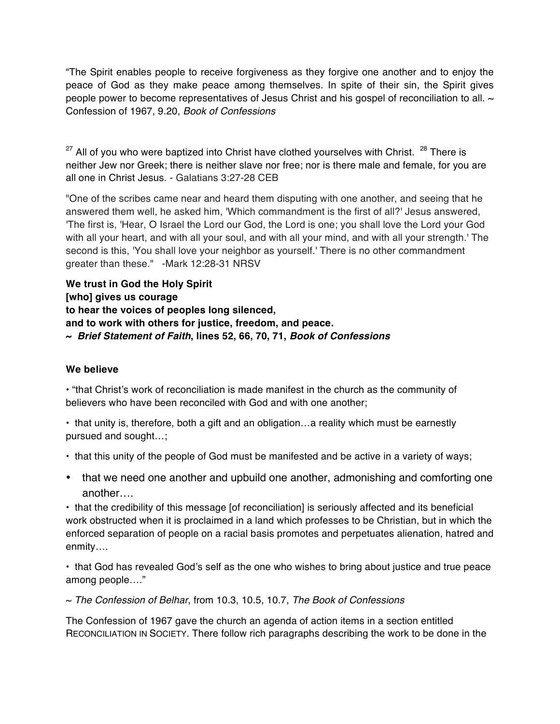"The Spirit enables people to receive forgiveness as they forgive one another and to enjoy the peace of God as they make peace among themselves. In spite of their sin, the Spirit gives people power to become representatives of Jesus Christ and his gospel of reconciliation to all.  $\sim$ Confession of 1967, 9.20, *Book of Confessions*

 $27$  All of you who were baptized into Christ have clothed yourselves with Christ.  $28$  There is neither Jew nor Greek; there is neither slave nor free; nor is there male and female, for you are all one in Christ Jesus. - Galatians 3:27-28 CEB

"One of the scribes came near and heard them disputing with one another, and seeing that he answered them well, he asked him, 'Which commandment is the first of all?' Jesus answered, 'The first is, 'Hear, O Israel the Lord our God, the Lord is one; you shall love the Lord your God with all your heart, and with all your soul, and with all your mind, and with all your strength.' The second is this, 'You shall love your neighbor as yourself.' There is no other commandment greater than these." -Mark 12:28-31 NRSV

**We trust in God the Holy Spirit [who] gives us courage to hear the voices of peoples long silenced, and to work with others for justice, freedom, and peace. ~** *Brief Statement of Faith***, lines 52, 66, 70, 71,** *Book of Confessions*

# **We believe**

• "that Christ's work of reconciliation is made manifest in the church as the community of believers who have been reconciled with God and with one another;

• that unity is, therefore, both a gift and an obligation…a reality which must be earnestly pursued and sought…;

- that this unity of the people of God must be manifested and be active in a variety of ways;
- that we need one another and upbuild one another, admonishing and comforting one another….

• that the credibility of this message [of reconciliation] is seriously affected and its beneficial work obstructed when it is proclaimed in a land which professes to be Christian, but in which the enforced separation of people on a racial basis promotes and perpetuates alienation, hatred and enmity….

• that God has revealed God's self as the one who wishes to bring about justice and true peace among people…."

~ *The Confession of Belhar*, from 10.3, 10.5, 10.7, *The Book of Confessions*

The Confession of 1967 gave the church an agenda of action items in a section entitled RECONCILIATION IN SOCIETY. There follow rich paragraphs describing the work to be done in the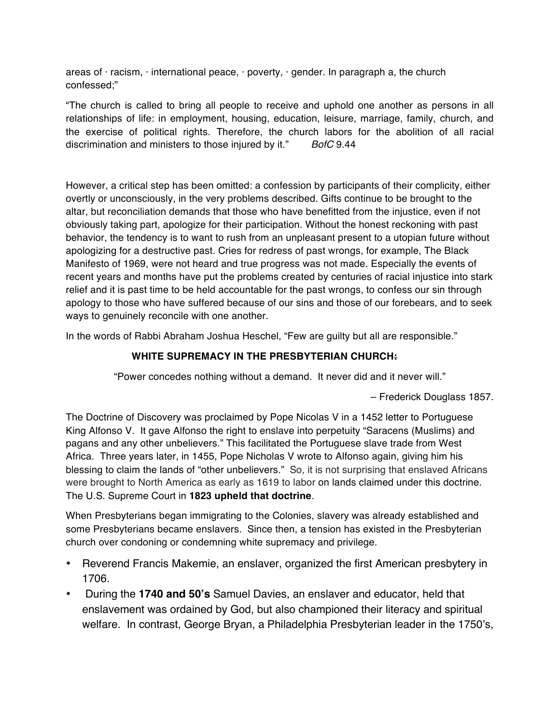areas of  $\cdot$  racism,  $\cdot$  international peace,  $\cdot$  poverty,  $\cdot$  gender. In paragraph a, the church confessed;"

"The church is called to bring all people to receive and uphold one another as persons in all relationships of life: in employment, housing, education, leisure, marriage, family, church, and the exercise of political rights. Therefore, the church labors for the abolition of all racial discrimination and ministers to those injured by it." *BofC* 9.44

However, a critical step has been omitted: a confession by participants of their complicity, either overtly or unconsciously, in the very problems described. Gifts continue to be brought to the altar, but reconciliation demands that those who have benefitted from the injustice, even if not obviously taking part, apologize for their participation. Without the honest reckoning with past behavior, the tendency is to want to rush from an unpleasant present to a utopian future without apologizing for a destructive past. Cries for redress of past wrongs, for example, The Black Manifesto of 1969, were not heard and true progress was not made. Especially the events of recent years and months have put the problems created by centuries of racial injustice into stark relief and it is past time to be held accountable for the past wrongs, to confess our sin through apology to those who have suffered because of our sins and those of our forebears, and to seek ways to genuinely reconcile with one another.

In the words of Rabbi Abraham Joshua Heschel, "Few are guilty but all are responsible."

# **WHITE SUPREMACY IN THE PRESBYTERIAN CHURCH:**

"Power concedes nothing without a demand. It never did and it never will."

– Frederick Douglass 1857.

The Doctrine of Discovery was proclaimed by Pope Nicolas V in a 1452 letter to Portuguese King Alfonso V. It gave Alfonso the right to enslave into perpetuity "Saracens (Muslims) and pagans and any other unbelievers." This facilitated the Portuguese slave trade from West Africa. Three years later, in 1455, Pope Nicholas V wrote to Alfonso again, giving him his blessing to claim the lands of "other unbelievers." So, it is not surprising that enslaved Africans were brought to North America as early as 1619 to labor on lands claimed under this doctrine. The U.S. Supreme Court in **1823 upheld that doctrine**.

When Presbyterians began immigrating to the Colonies, slavery was already established and some Presbyterians became enslavers. Since then, a tension has existed in the Presbyterian church over condoning or condemning white supremacy and privilege.

- Reverend Francis Makemie, an enslaver, organized the first American presbytery in 1706.
- During the **1740 and 50's** Samuel Davies, an enslaver and educator, held that enslavement was ordained by God, but also championed their literacy and spiritual welfare. In contrast, George Bryan, a Philadelphia Presbyterian leader in the 1750's,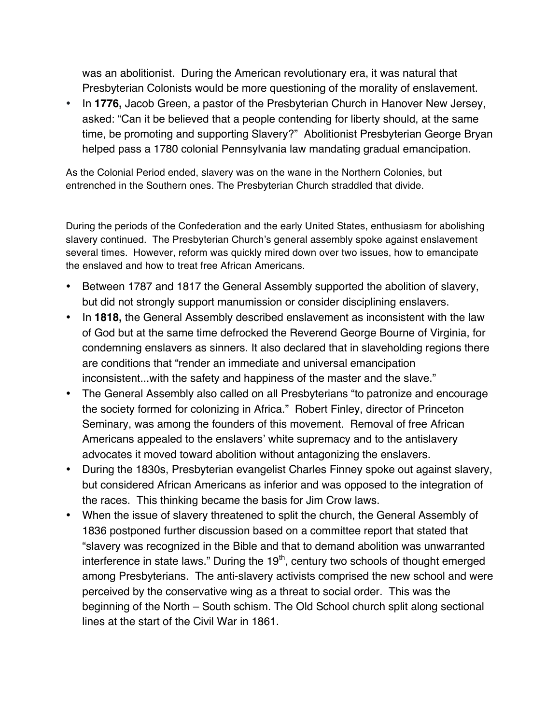was an abolitionist. During the American revolutionary era, it was natural that Presbyterian Colonists would be more questioning of the morality of enslavement.

• In **1776,** Jacob Green, a pastor of the Presbyterian Church in Hanover New Jersey, asked: "Can it be believed that a people contending for liberty should, at the same time, be promoting and supporting Slavery?" Abolitionist Presbyterian George Bryan helped pass a 1780 colonial Pennsylvania law mandating gradual emancipation.

As the Colonial Period ended, slavery was on the wane in the Northern Colonies, but entrenched in the Southern ones. The Presbyterian Church straddled that divide.

During the periods of the Confederation and the early United States, enthusiasm for abolishing slavery continued. The Presbyterian Church's general assembly spoke against enslavement several times. However, reform was quickly mired down over two issues, how to emancipate the enslaved and how to treat free African Americans.

- Between 1787 and 1817 the General Assembly supported the abolition of slavery, but did not strongly support manumission or consider disciplining enslavers.
- In **1818,** the General Assembly described enslavement as inconsistent with the law of God but at the same time defrocked the Reverend George Bourne of Virginia, for condemning enslavers as sinners. It also declared that in slaveholding regions there are conditions that "render an immediate and universal emancipation inconsistent...with the safety and happiness of the master and the slave."
- The General Assembly also called on all Presbyterians "to patronize and encourage the society formed for colonizing in Africa." Robert Finley, director of Princeton Seminary, was among the founders of this movement. Removal of free African Americans appealed to the enslavers' white supremacy and to the antislavery advocates it moved toward abolition without antagonizing the enslavers.
- During the 1830s, Presbyterian evangelist Charles Finney spoke out against slavery, but considered African Americans as inferior and was opposed to the integration of the races. This thinking became the basis for Jim Crow laws.
- When the issue of slavery threatened to split the church, the General Assembly of 1836 postponed further discussion based on a committee report that stated that "slavery was recognized in the Bible and that to demand abolition was unwarranted interference in state laws." During the  $19<sup>th</sup>$ , century two schools of thought emerged among Presbyterians. The anti-slavery activists comprised the new school and were perceived by the conservative wing as a threat to social order. This was the beginning of the North – South schism. The Old School church split along sectional lines at the start of the Civil War in 1861.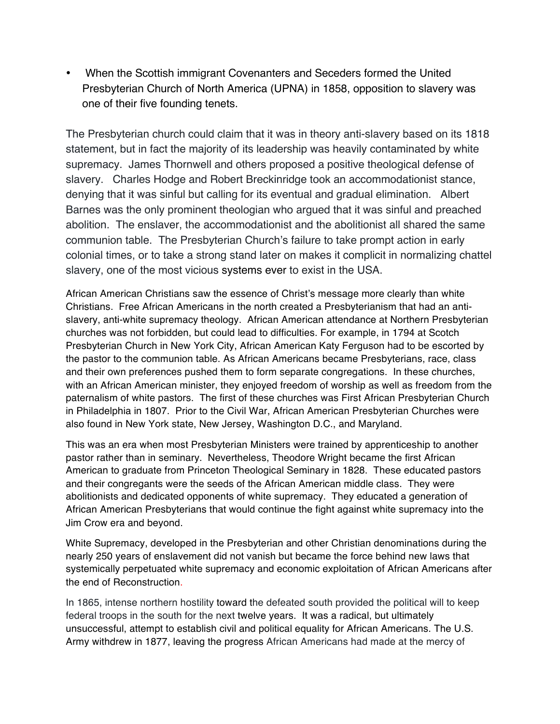• When the Scottish immigrant Covenanters and Seceders formed the United Presbyterian Church of North America (UPNA) in 1858, opposition to slavery was one of their five founding tenets.

The Presbyterian church could claim that it was in theory anti-slavery based on its 1818 statement, but in fact the majority of its leadership was heavily contaminated by white supremacy. James Thornwell and others proposed a positive theological defense of slavery. Charles Hodge and Robert Breckinridge took an accommodationist stance, denying that it was sinful but calling for its eventual and gradual elimination. Albert Barnes was the only prominent theologian who argued that it was sinful and preached abolition. The enslaver, the accommodationist and the abolitionist all shared the same communion table. The Presbyterian Church's failure to take prompt action in early colonial times, or to take a strong stand later on makes it complicit in normalizing chattel slavery, one of the most vicious systems ever to exist in the USA.

African American Christians saw the essence of Christ's message more clearly than white Christians. Free African Americans in the north created a Presbyterianism that had an antislavery, anti-white supremacy theology. African American attendance at Northern Presbyterian churches was not forbidden, but could lead to difficulties. For example, in 1794 at Scotch Presbyterian Church in New York City, African American Katy Ferguson had to be escorted by the pastor to the communion table. As African Americans became Presbyterians, race, class and their own preferences pushed them to form separate congregations. In these churches, with an African American minister, they enjoyed freedom of worship as well as freedom from the paternalism of white pastors. The first of these churches was First African Presbyterian Church in Philadelphia in 1807. Prior to the Civil War, African American Presbyterian Churches were also found in New York state, New Jersey, Washington D.C., and Maryland.

This was an era when most Presbyterian Ministers were trained by apprenticeship to another pastor rather than in seminary. Nevertheless, Theodore Wright became the first African American to graduate from Princeton Theological Seminary in 1828. These educated pastors and their congregants were the seeds of the African American middle class. They were abolitionists and dedicated opponents of white supremacy. They educated a generation of African American Presbyterians that would continue the fight against white supremacy into the Jim Crow era and beyond.

White Supremacy, developed in the Presbyterian and other Christian denominations during the nearly 250 years of enslavement did not vanish but became the force behind new laws that systemically perpetuated white supremacy and economic exploitation of African Americans after the end of Reconstruction.

In 1865, intense northern hostility toward the defeated south provided the political will to keep federal troops in the south for the next twelve years. It was a radical, but ultimately unsuccessful, attempt to establish civil and political equality for African Americans. The U.S. Army withdrew in 1877, leaving the progress African Americans had made at the mercy of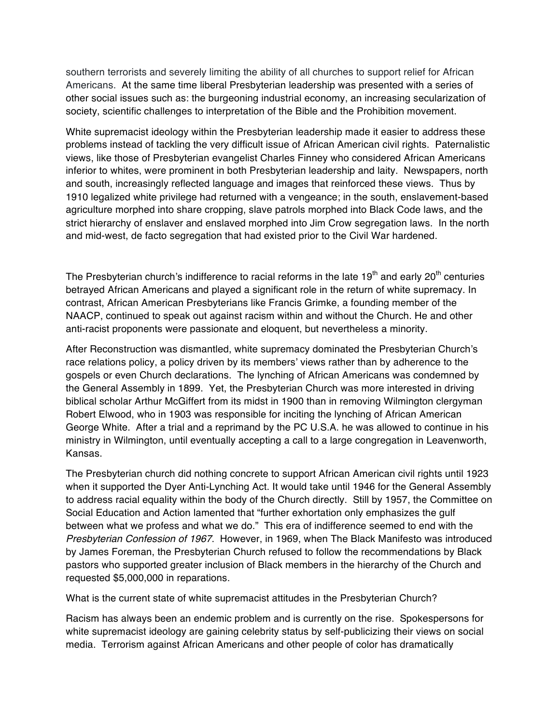southern terrorists and severely limiting the ability of all churches to support relief for African Americans. At the same time liberal Presbyterian leadership was presented with a series of other social issues such as: the burgeoning industrial economy, an increasing secularization of society, scientific challenges to interpretation of the Bible and the Prohibition movement.

White supremacist ideology within the Presbyterian leadership made it easier to address these problems instead of tackling the very difficult issue of African American civil rights. Paternalistic views, like those of Presbyterian evangelist Charles Finney who considered African Americans inferior to whites, were prominent in both Presbyterian leadership and laity. Newspapers, north and south, increasingly reflected language and images that reinforced these views. Thus by 1910 legalized white privilege had returned with a vengeance; in the south, enslavement-based agriculture morphed into share cropping, slave patrols morphed into Black Code laws, and the strict hierarchy of enslaver and enslaved morphed into Jim Crow segregation laws. In the north and mid-west, de facto segregation that had existed prior to the Civil War hardened.

The Presbyterian church's indifference to racial reforms in the late  $19<sup>th</sup>$  and early 20<sup>th</sup> centuries betrayed African Americans and played a significant role in the return of white supremacy. In contrast, African American Presbyterians like Francis Grimke, a founding member of the NAACP, continued to speak out against racism within and without the Church. He and other anti-racist proponents were passionate and eloquent, but nevertheless a minority.

After Reconstruction was dismantled, white supremacy dominated the Presbyterian Church's race relations policy, a policy driven by its members' views rather than by adherence to the gospels or even Church declarations. The lynching of African Americans was condemned by the General Assembly in 1899. Yet, the Presbyterian Church was more interested in driving biblical scholar Arthur McGiffert from its midst in 1900 than in removing Wilmington clergyman Robert Elwood, who in 1903 was responsible for inciting the lynching of African American George White. After a trial and a reprimand by the PC U.S.A. he was allowed to continue in his ministry in Wilmington, until eventually accepting a call to a large congregation in Leavenworth, Kansas.

The Presbyterian church did nothing concrete to support African American civil rights until 1923 when it supported the Dyer Anti-Lynching Act. It would take until 1946 for the General Assembly to address racial equality within the body of the Church directly. Still by 1957, the Committee on Social Education and Action lamented that "further exhortation only emphasizes the gulf between what we profess and what we do." This era of indifference seemed to end with the *Presbyterian Confession of 1967*. However, in 1969, when The Black Manifesto was introduced by James Foreman, the Presbyterian Church refused to follow the recommendations by Black pastors who supported greater inclusion of Black members in the hierarchy of the Church and requested \$5,000,000 in reparations.

What is the current state of white supremacist attitudes in the Presbyterian Church?

Racism has always been an endemic problem and is currently on the rise. Spokespersons for white supremacist ideology are gaining celebrity status by self-publicizing their views on social media. Terrorism against African Americans and other people of color has dramatically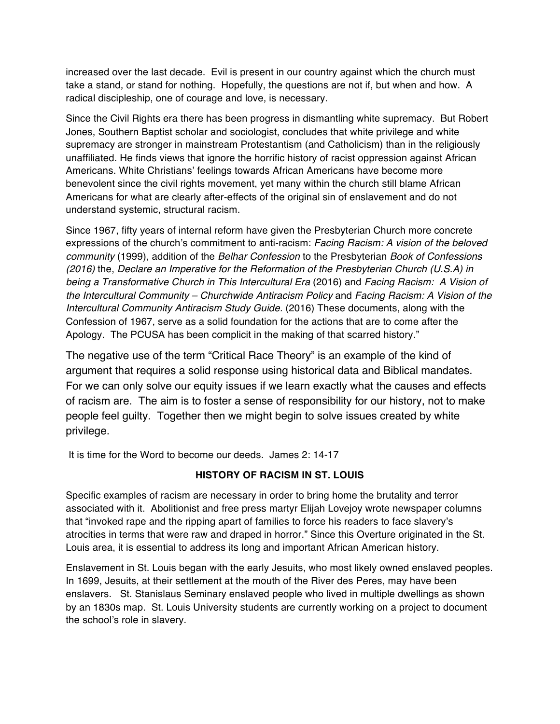increased over the last decade. Evil is present in our country against which the church must take a stand, or stand for nothing. Hopefully, the questions are not if, but when and how. A radical discipleship, one of courage and love, is necessary.

Since the Civil Rights era there has been progress in dismantling white supremacy. But Robert Jones, Southern Baptist scholar and sociologist, concludes that white privilege and white supremacy are stronger in mainstream Protestantism (and Catholicism) than in the religiously unaffiliated. He finds views that ignore the horrific history of racist oppression against African Americans. White Christians' feelings towards African Americans have become more benevolent since the civil rights movement, yet many within the church still blame African Americans for what are clearly after-effects of the original sin of enslavement and do not understand systemic, structural racism.

Since 1967, fifty years of internal reform have given the Presbyterian Church more concrete expressions of the church's commitment to anti-racism: *Facing Racism: A vision of the beloved community* (1999), addition of the *Belhar Confession* to the Presbyterian *Book of Confessions (2016)* the, *Declare an Imperative for the Reformation of the Presbyterian Church (U.S.A) in being a Transformative Church in This Intercultural Era* (2016) and *Facing Racism: A Vision of the Intercultural Community – Churchwide Antiracism Policy* and *Facing Racism: A Vision of the Intercultural Community Antiracism Study Guide.* (2016) These documents, along with the Confession of 1967, serve as a solid foundation for the actions that are to come after the Apology. The PCUSA has been complicit in the making of that scarred history."

The negative use of the term "Critical Race Theory" is an example of the kind of argument that requires a solid response using historical data and Biblical mandates. For we can only solve our equity issues if we learn exactly what the causes and effects of racism are. The aim is to foster a sense of responsibility for our history, not to make people feel guilty. Together then we might begin to solve issues created by white privilege.

It is time for the Word to become our deeds. James 2: 14-17

# **HISTORY OF RACISM IN ST. LOUIS**

Specific examples of racism are necessary in order to bring home the brutality and terror associated with it. Abolitionist and free press martyr Elijah Lovejoy wrote newspaper columns that "invoked rape and the ripping apart of families to force his readers to face slavery's atrocities in terms that were raw and draped in horror." Since this Overture originated in the St. Louis area, it is essential to address its long and important African American history.

Enslavement in St. Louis began with the early Jesuits, who most likely owned enslaved peoples. In 1699, Jesuits, at their settlement at the mouth of the River des Peres, may have been enslavers. St. Stanislaus Seminary enslaved people who lived in multiple dwellings as shown by an 1830s map. St. Louis University students are currently working on a project to document the school's role in slavery.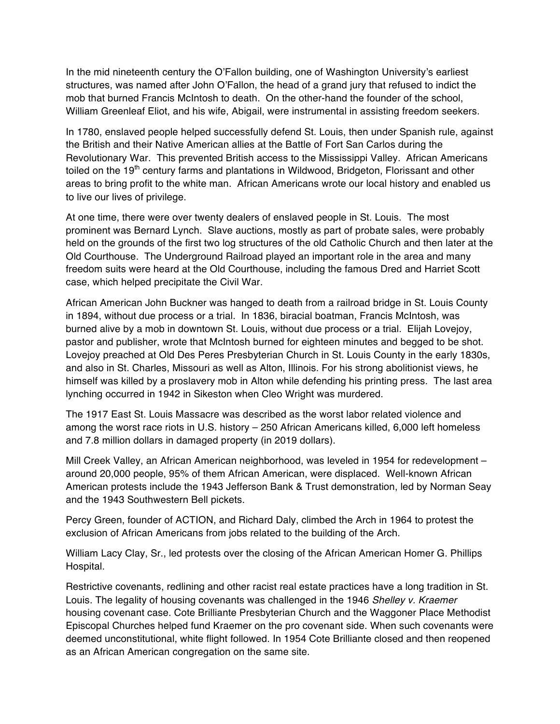In the mid nineteenth century the O'Fallon building, one of Washington University's earliest structures, was named after John O'Fallon, the head of a grand jury that refused to indict the mob that burned Francis McIntosh to death. On the other-hand the founder of the school, William Greenleaf Eliot, and his wife, Abigail, were instrumental in assisting freedom seekers.

In 1780, enslaved people helped successfully defend St. Louis, then under Spanish rule, against the British and their Native American allies at the Battle of Fort San Carlos during the Revolutionary War. This prevented British access to the Mississippi Valley. African Americans toiled on the 19<sup>th</sup> century farms and plantations in Wildwood, Bridgeton, Florissant and other areas to bring profit to the white man. African Americans wrote our local history and enabled us to live our lives of privilege.

At one time, there were over twenty dealers of enslaved people in St. Louis. The most prominent was Bernard Lynch. Slave auctions, mostly as part of probate sales, were probably held on the grounds of the first two log structures of the old Catholic Church and then later at the Old Courthouse. The Underground Railroad played an important role in the area and many freedom suits were heard at the Old Courthouse, including the famous Dred and Harriet Scott case, which helped precipitate the Civil War.

African American John Buckner was hanged to death from a railroad bridge in St. Louis County in 1894, without due process or a trial. In 1836, biracial boatman, Francis McIntosh, was burned alive by a mob in downtown St. Louis, without due process or a trial. Elijah Lovejoy, pastor and publisher, wrote that McIntosh burned for eighteen minutes and begged to be shot. Lovejoy preached at Old Des Peres Presbyterian Church in St. Louis County in the early 1830s, and also in St. Charles, Missouri as well as Alton, Illinois. For his strong abolitionist views, he himself was killed by a proslavery mob in Alton while defending his printing press. The last area lynching occurred in 1942 in Sikeston when Cleo Wright was murdered.

The 1917 East St. Louis Massacre was described as the worst labor related violence and among the worst race riots in U.S. history – 250 African Americans killed, 6,000 left homeless and 7.8 million dollars in damaged property (in 2019 dollars).

Mill Creek Valley, an African American neighborhood, was leveled in 1954 for redevelopment – around 20,000 people, 95% of them African American, were displaced. Well-known African American protests include the 1943 Jefferson Bank & Trust demonstration, led by Norman Seay and the 1943 Southwestern Bell pickets.

Percy Green, founder of ACTION, and Richard Daly, climbed the Arch in 1964 to protest the exclusion of African Americans from jobs related to the building of the Arch.

William Lacy Clay, Sr., led protests over the closing of the African American Homer G. Phillips Hospital.

Restrictive covenants, redlining and other racist real estate practices have a long tradition in St. Louis. The legality of housing covenants was challenged in the 1946 *Shelley v. Kraemer* housing covenant case. Cote Brilliante Presbyterian Church and the Waggoner Place Methodist Episcopal Churches helped fund Kraemer on the pro covenant side. When such covenants were deemed unconstitutional, white flight followed. In 1954 Cote Brilliante closed and then reopened as an African American congregation on the same site.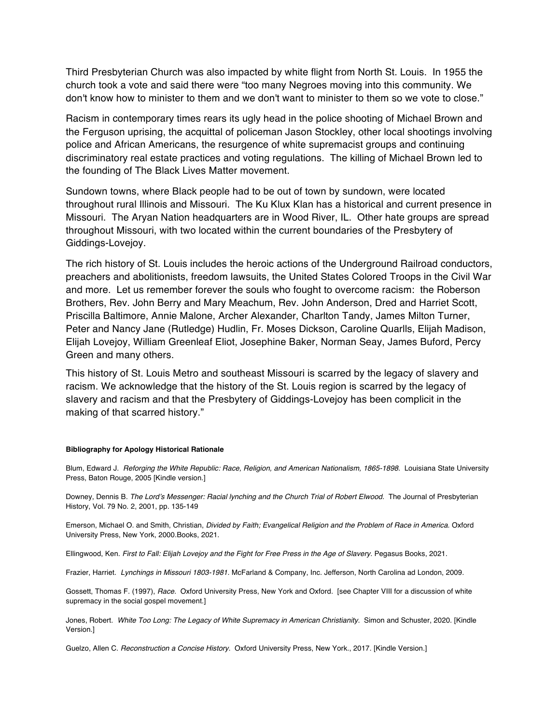Third Presbyterian Church was also impacted by white flight from North St. Louis. In 1955 the church took a vote and said there were "too many Negroes moving into this community. We don't know how to minister to them and we don't want to minister to them so we vote to close."

Racism in contemporary times rears its ugly head in the police shooting of Michael Brown and the Ferguson uprising, the acquittal of policeman Jason Stockley, other local shootings involving police and African Americans, the resurgence of white supremacist groups and continuing discriminatory real estate practices and voting regulations. The killing of Michael Brown led to the founding of The Black Lives Matter movement.

Sundown towns, where Black people had to be out of town by sundown, were located throughout rural Illinois and Missouri. The Ku Klux Klan has a historical and current presence in Missouri. The Aryan Nation headquarters are in Wood River, IL. Other hate groups are spread throughout Missouri, with two located within the current boundaries of the Presbytery of Giddings-Lovejoy.

The rich history of St. Louis includes the heroic actions of the Underground Railroad conductors, preachers and abolitionists, freedom lawsuits, the United States Colored Troops in the Civil War and more. Let us remember forever the souls who fought to overcome racism: the Roberson Brothers, Rev. John Berry and Mary Meachum, Rev. John Anderson, Dred and Harriet Scott, Priscilla Baltimore, Annie Malone, Archer Alexander, Charlton Tandy, James Milton Turner, Peter and Nancy Jane (Rutledge) Hudlin, Fr. Moses Dickson, Caroline Quarlls, Elijah Madison, Elijah Lovejoy, William Greenleaf Eliot, Josephine Baker, Norman Seay, James Buford, Percy Green and many others.

This history of St. Louis Metro and southeast Missouri is scarred by the legacy of slavery and racism. We acknowledge that the history of the St. Louis region is scarred by the legacy of slavery and racism and that the Presbytery of Giddings-Lovejoy has been complicit in the making of that scarred history."

#### **Bibliography for Apology Historical Rationale**

Blum, Edward J. *Reforging the White Republic: Race, Religion, and American Nationalism, 1865-1898*. Louisiana State University Press, Baton Rouge, 2005 [Kindle version.]

Downey, Dennis B. *The Lord's Messenger: Racial lynching and the Church Trial of Robert Elwood.* The Journal of Presbyterian History, Vol. 79 No. 2, 2001, pp. 135-149

Emerson, Michael O. and Smith, Christian, *Divided by Faith; Evangelical Religion and the Problem of Race in America.* Oxford University Press, New York, 2000.Books, 2021.

Ellingwood, Ken. First to Fall: Elijah Lovejoy and the Fight for Free Press in the Age of Slavery. Pegasus Books, 2021.

Frazier, Harriet. *Lynchings in Missouri 1803-1981.* McFarland & Company, Inc. Jefferson, North Carolina ad London, 2009.

Gossett, Thomas F. (1997), *Race.* Oxford University Press, New York and Oxford. [see Chapter VIII for a discussion of white supremacy in the social gospel movement.]

Jones, Robert. *White Too Long: The Legacy of White Supremacy in American Christianity*. Simon and Schuster, 2020. [Kindle Version.]

Guelzo, Allen C. *Reconstruction a Concise History*. Oxford University Press, New York., 2017. [Kindle Version.]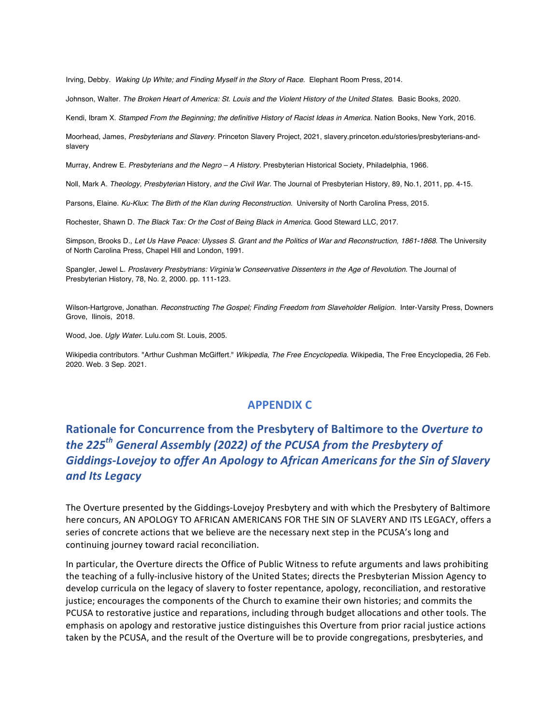Irving, Debby*. Waking Up White; and Finding Myself in the Story of Race.* Elephant Room Press, 2014.

Johnson, Walter. *The Broken Heart of America: St. Louis and the Violent History of the United States*. Basic Books, 2020.

Kendi, Ibram X. Stamped From the Beginning; the definitive History of Racist Ideas in America. Nation Books, New York, 2016.

Moorhead, James, *Presbyterians and Slavery.* Princeton Slavery Project, 2021, slavery.princeton.edu/stories/presbyterians-andslavery

Murray, Andrew E. *Presbyterians and the Negro – A History.* Presbyterian Historical Society, Philadelphia, 1966.

Noll, Mark A. *Theology, Presbyterian* History*, and the Civil War.* The Journal of Presbyterian History, 89, No.1, 2011, pp. 4-15.

Parsons, Elaine. *Ku-Klux*: *The Birth of the Klan during Reconstruction*. University of North Carolina Press, 2015.

Rochester, Shawn D. *The Black Tax: Or the Cost of Being Black in America*. Good Steward LLC, 2017.

Simpson, Brooks D., *Let Us Have Peace: Ulysses S. Grant and the Politics of War and Reconstruction, 1861-1868*. The University of North Carolina Press, Chapel Hill and London, 1991.

Spangler, Jewel L. *Proslavery Presbytrians: Virginia'w Conseervative Dissenters in the Age of Revolution.* The Journal of Presbyterian History, 78, No. 2, 2000. pp. 111-123.

Wilson-Hartgrove, Jonathan. *Reconstructing The Gospel; Finding Freedom from Slaveholder Religion.* Inter-Varsity Press, Downers Grove, Ilinois, 2018.

Wood, Joe. *Ugly Water.* Lulu.com St. Louis, 2005.

Wikipedia contributors. "Arthur Cushman McGiffert." *Wikipedia, The Free Encyclopedia*. Wikipedia, The Free Encyclopedia, 26 Feb. 2020. Web. 3 Sep. 2021.

# **APPENDIX C**

# **Rationale for Concurrence from the Presbytery of Baltimore to the Overture to** *the* 225<sup>th</sup> General Assembly (2022) of the PCUSA from the Presbytery of Giddings-Lovejoy to offer An Apology to African Americans for the Sin of Slavery *and Its Legacy*

The Overture presented by the Giddings-Lovejoy Presbytery and with which the Presbytery of Baltimore here concurs, AN APOLOGY TO AFRICAN AMERICANS FOR THE SIN OF SLAVERY AND ITS LEGACY, offers a series of concrete actions that we believe are the necessary next step in the PCUSA's long and continuing journey toward racial reconciliation.

In particular, the Overture directs the Office of Public Witness to refute arguments and laws prohibiting the teaching of a fully-inclusive history of the United States; directs the Presbyterian Mission Agency to develop curricula on the legacy of slavery to foster repentance, apology, reconciliation, and restorative justice; encourages the components of the Church to examine their own histories; and commits the PCUSA to restorative justice and reparations, including through budget allocations and other tools. The emphasis on apology and restorative justice distinguishes this Overture from prior racial justice actions taken by the PCUSA, and the result of the Overture will be to provide congregations, presbyteries, and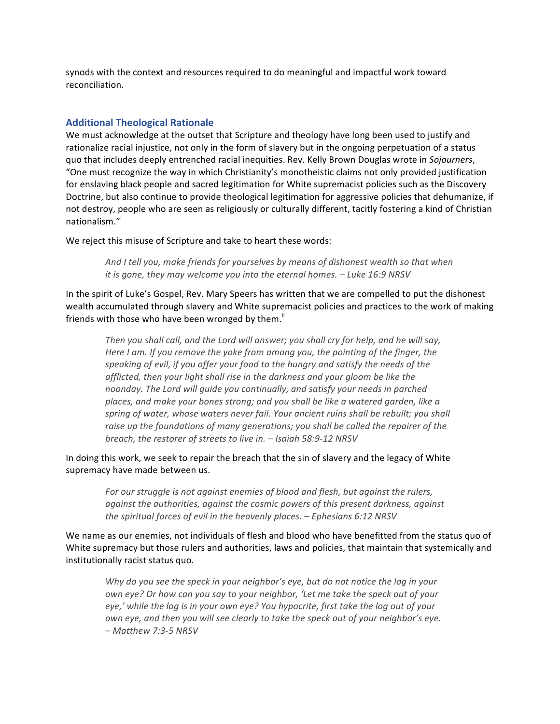synods with the context and resources required to do meaningful and impactful work toward reconciliation.

## **Additional Theological Rationale**

We must acknowledge at the outset that Scripture and theology have long been used to justify and rationalize racial injustice, not only in the form of slavery but in the ongoing perpetuation of a status quo that includes deeply entrenched racial inequities. Rev. Kelly Brown Douglas wrote in *Sojourners*, "One must recognize the way in which Christianity's monotheistic claims not only provided justification for enslaving black people and sacred legitimation for White supremacist policies such as the Discovery Doctrine, but also continue to provide theological legitimation for aggressive policies that dehumanize, if not destroy, people who are seen as religiously or culturally different, tacitly fostering a kind of Christian nationalism."i

We reject this misuse of Scripture and take to heart these words:

And I tell you, make friends for yourselves by means of dishonest wealth so that when *it* is gone, they may welcome you into the eternal homes. – Luke 16:9 NRSV

In the spirit of Luke's Gospel, Rev. Mary Speers has written that we are compelled to put the dishonest wealth accumulated through slavery and White supremacist policies and practices to the work of making friends with those who have been wronged by them."

Then you shall call, and the Lord will answer; you shall cry for help, and he will say, *Here I am. If you remove the yoke from among you, the pointing of the finger, the speaking* of evil, if you offer your food to the hungry and satisfy the needs of the afflicted, then your light shall rise in the darkness and your gloom be like the *noonday.* The Lord will guide you continually, and satisfy your needs in parched places, and make your bones strong; and you shall be like a watered garden, like a spring of water, whose waters never fail. Your ancient ruins shall be rebuilt; you shall raise up the foundations of many generations; you shall be called the repairer of the *breach, the restorer of streets to live in.* – *Isaiah 58:9-12 NRSV* 

In doing this work, we seek to repair the breach that the sin of slavery and the legacy of White supremacy have made between us.

> For our struggle is not against enemies of blood and flesh, but against the rulers, *against the authorities, against the cosmic powers of this present darkness, against the spiritual forces of evil in the heavenly places.* – *Ephesians* 6:12 NRSV

We name as our enemies, not individuals of flesh and blood who have benefitted from the status quo of White supremacy but those rulers and authorities, laws and policies, that maintain that systemically and institutionally racist status quo.

Why do you see the speck in your neighbor's eye, but do not notice the log in your *own* eye? Or how can you say to your neighbor, 'Let me take the speck out of your *eye,'* while the log is in your own eye? You hypocrite, first take the log out of your *own eye, and then you will see clearly to take the speck out of your neighbor's eye. – Matthew 7:3-5 NRSV*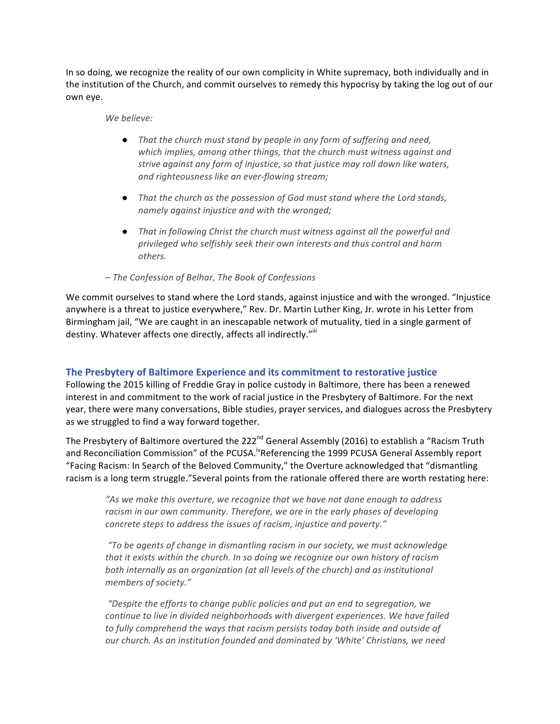In so doing, we recognize the reality of our own complicity in White supremacy, both individually and in the institution of the Church, and commit ourselves to remedy this hypocrisy by taking the log out of our own eye.

#### *We believe:*

- *That the church must stand by people in any form of suffering and need,* which implies, among other things, that the church must witness against and *strive against any form of injustice, so that justice may roll down like waters, and righteousness like an ever-flowing stream;*
- That the church as the possession of God must stand where the Lord stands, *namely against injustice and with the wronged;*
- That in following Christ the church must witness against all the powerful and *privileged who selfishly seek their own interests and thus control and harm others.*

## *– The Confession of Belhar, The Book of Confessions*

We commit ourselves to stand where the Lord stands, against injustice and with the wronged. "Injustice anywhere is a threat to justice everywhere," Rev. Dr. Martin Luther King, Jr. wrote in his Letter from Birmingham jail, "We are caught in an inescapable network of mutuality, tied in a single garment of destiny. Whatever affects one directly, affects all indirectly."<sup>iii</sup>

## The Presbytery of Baltimore Experience and its commitment to restorative justice

Following the 2015 killing of Freddie Gray in police custody in Baltimore, there has been a renewed interest in and commitment to the work of racial justice in the Presbytery of Baltimore. For the next year, there were many conversations, Bible studies, prayer services, and dialogues across the Presbytery as we struggled to find a way forward together.

The Presbytery of Baltimore overtured the 222<sup>nd</sup> General Assembly (2016) to establish a "Racism Truth and Reconciliation Commission" of the PCUSA.<sup>iv</sup>Referencing the 1999 PCUSA General Assembly report "Facing Racism: In Search of the Beloved Community," the Overture acknowledged that "dismantling racism is a long term struggle."Several points from the rationale offered there are worth restating here:

"As we make this overture, we recognize that we have not done enough to address racism in our own community. Therefore, we are in the early phases of developing *concrete steps to address the issues of racism, injustice and poverty."* 

*"To be agents of change in dismantling racism in our society, we must acknowledge*  that it exists within the church. In so doing we recognize our own history of racism *both internally as an organization (at all levels of the church) and as institutional members of society."*

"Despite the efforts to change public policies and put an end to segregation, we *continue to live in divided neighborhoods with divergent experiences. We have failed* to fully comprehend the ways that racism persists today both inside and outside of *our* church. As an institution founded and dominated by 'White' Christians, we need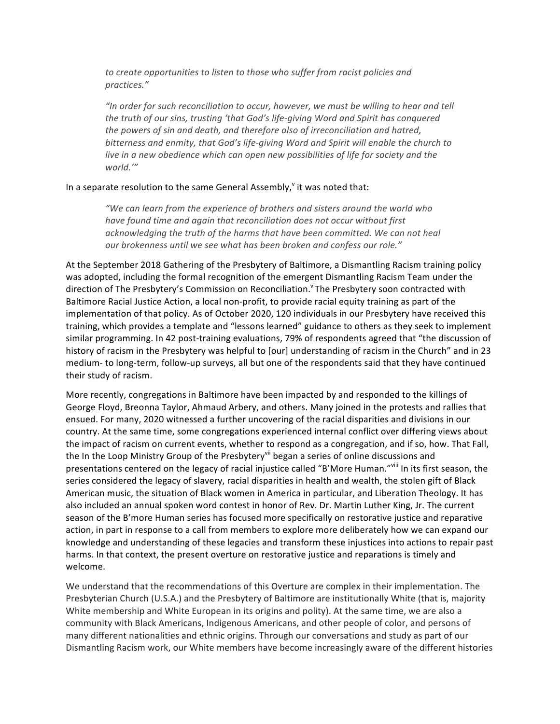*to* create opportunities to listen to those who suffer from racist policies and *practices."*

"In order for such reconciliation to occur, however, we must be willing to hear and tell *the truth of our sins, trusting 'that God's life-giving Word and Spirit has conquered* the powers of sin and death, and therefore also of irreconciliation and hatred, bitterness and enmity, that God's life-giving Word and Spirit will enable the church to *live in a new obedience which can open new possibilities of life for society and the world.'"* 

### In a separate resolution to the same General Assembly, $\theta$  it was noted that:

*"We can learn from the experience of brothers and sisters around the world who have found time and again that reconciliation does not occur without first* acknowledging the truth of the harms that have been committed. We can not heal our brokenness until we see what has been broken and confess our role."

At the September 2018 Gathering of the Presbytery of Baltimore, a Dismantling Racism training policy was adopted, including the formal recognition of the emergent Dismantling Racism Team under the direction of The Presbytery's Commission on Reconciliation. ViThe Presbytery soon contracted with Baltimore Racial Justice Action, a local non-profit, to provide racial equity training as part of the implementation of that policy. As of October 2020, 120 individuals in our Presbytery have received this training, which provides a template and "lessons learned" guidance to others as they seek to implement similar programming. In 42 post-training evaluations, 79% of respondents agreed that "the discussion of history of racism in the Presbytery was helpful to [our] understanding of racism in the Church" and in 23 medium- to long-term, follow-up surveys, all but one of the respondents said that they have continued their study of racism.

More recently, congregations in Baltimore have been impacted by and responded to the killings of George Floyd, Breonna Taylor, Ahmaud Arbery, and others. Many joined in the protests and rallies that ensued. For many, 2020 witnessed a further uncovering of the racial disparities and divisions in our country. At the same time, some congregations experienced internal conflict over differing views about the impact of racism on current events, whether to respond as a congregation, and if so, how. That Fall, the In the Loop Ministry Group of the Presbytery<sup>vii</sup> began a series of online discussions and presentations centered on the legacy of racial injustice called "B'More Human."<sup>viii</sup> In its first season, the series considered the legacy of slavery, racial disparities in health and wealth, the stolen gift of Black American music, the situation of Black women in America in particular, and Liberation Theology. It has also included an annual spoken word contest in honor of Rev. Dr. Martin Luther King, Jr. The current season of the B'more Human series has focused more specifically on restorative justice and reparative action, in part in response to a call from members to explore more deliberately how we can expand our knowledge and understanding of these legacies and transform these injustices into actions to repair past harms. In that context, the present overture on restorative justice and reparations is timely and welcome.

We understand that the recommendations of this Overture are complex in their implementation. The Presbyterian Church (U.S.A.) and the Presbytery of Baltimore are institutionally White (that is, majority White membership and White European in its origins and polity). At the same time, we are also a community with Black Americans, Indigenous Americans, and other people of color, and persons of many different nationalities and ethnic origins. Through our conversations and study as part of our Dismantling Racism work, our White members have become increasingly aware of the different histories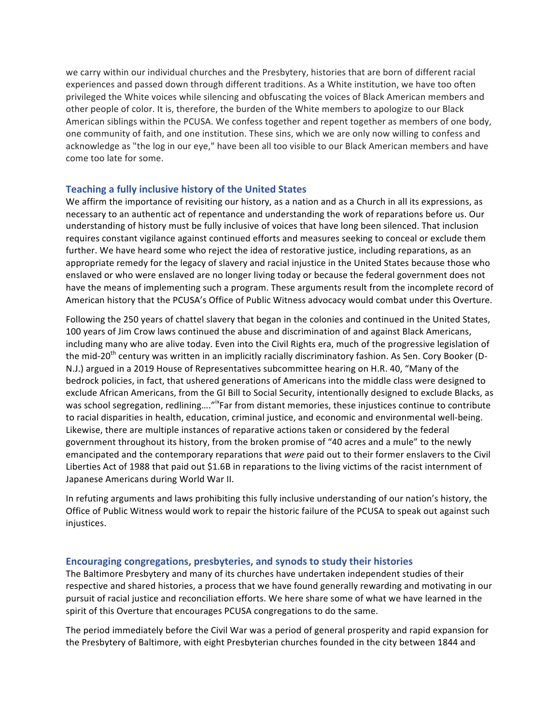we carry within our individual churches and the Presbytery, histories that are born of different racial experiences and passed down through different traditions. As a White institution, we have too often privileged the White voices while silencing and obfuscating the voices of Black American members and other people of color. It is, therefore, the burden of the White members to apologize to our Black American siblings within the PCUSA. We confess together and repent together as members of one body, one community of faith, and one institution. These sins, which we are only now willing to confess and acknowledge as "the log in our eye," have been all too visible to our Black American members and have come too late for some.

## **Teaching a fully inclusive history of the United States**

We affirm the importance of revisiting our history, as a nation and as a Church in all its expressions, as necessary to an authentic act of repentance and understanding the work of reparations before us. Our understanding of history must be fully inclusive of voices that have long been silenced. That inclusion requires constant vigilance against continued efforts and measures seeking to conceal or exclude them further. We have heard some who reject the idea of restorative justice, including reparations, as an appropriate remedy for the legacy of slavery and racial injustice in the United States because those who enslaved or who were enslaved are no longer living today or because the federal government does not have the means of implementing such a program. These arguments result from the incomplete record of American history that the PCUSA's Office of Public Witness advocacy would combat under this Overture.

Following the 250 years of chattel slavery that began in the colonies and continued in the United States, 100 years of Jim Crow laws continued the abuse and discrimination of and against Black Americans, including many who are alive today. Even into the Civil Rights era, much of the progressive legislation of the mid-20<sup>th</sup> century was written in an implicitly racially discriminatory fashion. As Sen. Cory Booker (D-N.J.) argued in a 2019 House of Representatives subcommittee hearing on H.R. 40, "Many of the bedrock policies, in fact, that ushered generations of Americans into the middle class were designed to exclude African Americans, from the GI Bill to Social Security, intentionally designed to exclude Blacks, as was school segregation, redlining...."<sup>ix</sup>Far from distant memories, these injustices continue to contribute to racial disparities in health, education, criminal justice, and economic and environmental well-being. Likewise, there are multiple instances of reparative actions taken or considered by the federal government throughout its history, from the broken promise of "40 acres and a mule" to the newly emancipated and the contemporary reparations that *were* paid out to their former enslavers to the Civil Liberties Act of 1988 that paid out \$1.6B in reparations to the living victims of the racist internment of Japanese Americans during World War II.

In refuting arguments and laws prohibiting this fully inclusive understanding of our nation's history, the Office of Public Witness would work to repair the historic failure of the PCUSA to speak out against such injustices.

## **Encouraging congregations, presbyteries, and synods to study their histories**

The Baltimore Presbytery and many of its churches have undertaken independent studies of their respective and shared histories, a process that we have found generally rewarding and motivating in our pursuit of racial justice and reconciliation efforts. We here share some of what we have learned in the spirit of this Overture that encourages PCUSA congregations to do the same.

The period immediately before the Civil War was a period of general prosperity and rapid expansion for the Presbytery of Baltimore, with eight Presbyterian churches founded in the city between 1844 and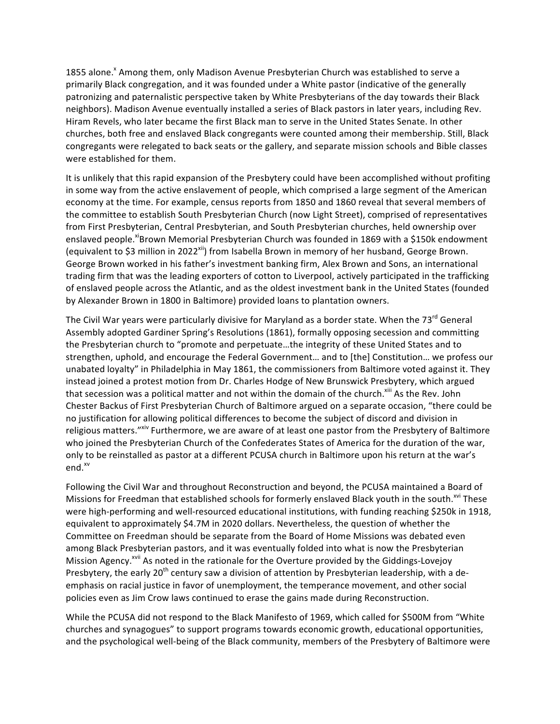1855 alone.<sup>x</sup> Among them, only Madison Avenue Presbyterian Church was established to serve a primarily Black congregation, and it was founded under a White pastor (indicative of the generally patronizing and paternalistic perspective taken by White Presbyterians of the day towards their Black neighbors). Madison Avenue eventually installed a series of Black pastors in later years, including Rev. Hiram Revels, who later became the first Black man to serve in the United States Senate. In other churches, both free and enslaved Black congregants were counted among their membership. Still, Black congregants were relegated to back seats or the gallery, and separate mission schools and Bible classes were established for them.

It is unlikely that this rapid expansion of the Presbytery could have been accomplished without profiting in some way from the active enslavement of people, which comprised a large segment of the American economy at the time. For example, census reports from 1850 and 1860 reveal that several members of the committee to establish South Presbyterian Church (now Light Street), comprised of representatives from First Presbyterian, Central Presbyterian, and South Presbyterian churches, held ownership over enslaved people.<sup>xi</sup>Brown Memorial Presbyterian Church was founded in 1869 with a \$150k endowment (equivalent to \$3 million in 2022<sup>xii</sup>) from Isabella Brown in memory of her husband, George Brown. George Brown worked in his father's investment banking firm, Alex Brown and Sons, an international trading firm that was the leading exporters of cotton to Liverpool, actively participated in the trafficking of enslaved people across the Atlantic, and as the oldest investment bank in the United States (founded by Alexander Brown in 1800 in Baltimore) provided loans to plantation owners.

The Civil War years were particularly divisive for Maryland as a border state. When the  $73<sup>rd</sup>$  General Assembly adopted Gardiner Spring's Resolutions (1861), formally opposing secession and committing the Presbyterian church to "promote and perpetuate...the integrity of these United States and to strengthen, uphold, and encourage the Federal Government... and to [the] Constitution... we profess our unabated loyalty" in Philadelphia in May 1861, the commissioners from Baltimore voted against it. They instead joined a protest motion from Dr. Charles Hodge of New Brunswick Presbytery, which argued that secession was a political matter and not within the domain of the church.<sup>xiii</sup> As the Rev. John Chester Backus of First Presbyterian Church of Baltimore argued on a separate occasion, "there could be no justification for allowing political differences to become the subject of discord and division in religious matters." Xiv Furthermore, we are aware of at least one pastor from the Presbytery of Baltimore who joined the Presbyterian Church of the Confederates States of America for the duration of the war, only to be reinstalled as pastor at a different PCUSA church in Baltimore upon his return at the war's end.<sup>xv</sup>

Following the Civil War and throughout Reconstruction and beyond, the PCUSA maintained a Board of Missions for Freedman that established schools for formerly enslaved Black youth in the south.<sup>xvi</sup> These were high-performing and well-resourced educational institutions, with funding reaching \$250k in 1918, equivalent to approximately \$4.7M in 2020 dollars. Nevertheless, the question of whether the Committee on Freedman should be separate from the Board of Home Missions was debated even among Black Presbyterian pastors, and it was eventually folded into what is now the Presbyterian Mission Agency.<sup>xvii</sup> As noted in the rationale for the Overture provided by the Giddings-Lovejoy Presbytery, the early  $20<sup>th</sup>$  century saw a division of attention by Presbyterian leadership, with a deemphasis on racial justice in favor of unemployment, the temperance movement, and other social policies even as Jim Crow laws continued to erase the gains made during Reconstruction.

While the PCUSA did not respond to the Black Manifesto of 1969, which called for \$500M from "White churches and synagogues" to support programs towards economic growth, educational opportunities, and the psychological well-being of the Black community, members of the Presbytery of Baltimore were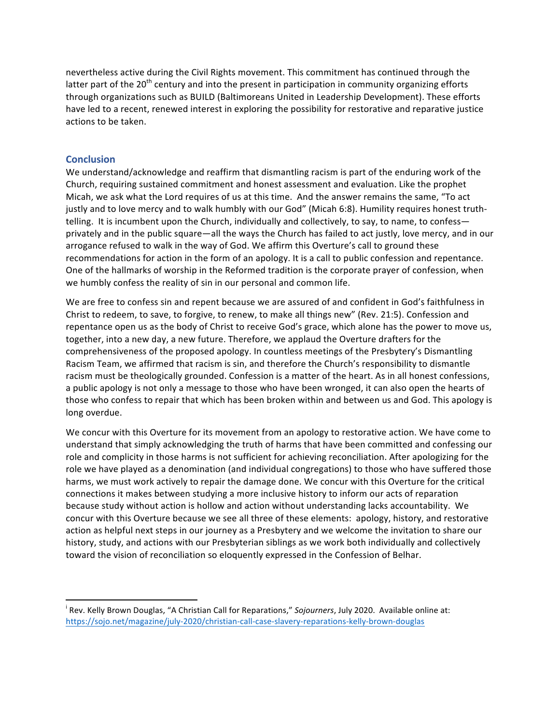nevertheless active during the Civil Rights movement. This commitment has continued through the latter part of the 20<sup>th</sup> century and into the present in participation in community organizing efforts through organizations such as BUILD (Baltimoreans United in Leadership Development). These efforts have led to a recent, renewed interest in exploring the possibility for restorative and reparative justice actions to be taken.

### **Conclusion**

We understand/acknowledge and reaffirm that dismantling racism is part of the enduring work of the Church, requiring sustained commitment and honest assessment and evaluation. Like the prophet Micah, we ask what the Lord requires of us at this time. And the answer remains the same, "To act justly and to love mercy and to walk humbly with our God" (Micah 6:8). Humility requires honest truthtelling. It is incumbent upon the Church, individually and collectively, to say, to name, to confess privately and in the public square—all the ways the Church has failed to act justly, love mercy, and in our arrogance refused to walk in the way of God. We affirm this Overture's call to ground these recommendations for action in the form of an apology. It is a call to public confession and repentance. One of the hallmarks of worship in the Reformed tradition is the corporate prayer of confession, when we humbly confess the reality of sin in our personal and common life.

We are free to confess sin and repent because we are assured of and confident in God's faithfulness in Christ to redeem, to save, to forgive, to renew, to make all things new" (Rev. 21:5). Confession and repentance open us as the body of Christ to receive God's grace, which alone has the power to move us, together, into a new day, a new future. Therefore, we applaud the Overture drafters for the comprehensiveness of the proposed apology. In countless meetings of the Presbytery's Dismantling Racism Team, we affirmed that racism is sin, and therefore the Church's responsibility to dismantle racism must be theologically grounded. Confession is a matter of the heart. As in all honest confessions, a public apology is not only a message to those who have been wronged, it can also open the hearts of those who confess to repair that which has been broken within and between us and God. This apology is long overdue.

We concur with this Overture for its movement from an apology to restorative action. We have come to understand that simply acknowledging the truth of harms that have been committed and confessing our role and complicity in those harms is not sufficient for achieving reconciliation. After apologizing for the role we have played as a denomination (and individual congregations) to those who have suffered those harms, we must work actively to repair the damage done. We concur with this Overture for the critical connections it makes between studying a more inclusive history to inform our acts of reparation because study without action is hollow and action without understanding lacks accountability. We concur with this Overture because we see all three of these elements: apology, history, and restorative action as helpful next steps in our journey as a Presbytery and we welcome the invitation to share our history, study, and actions with our Presbyterian siblings as we work both individually and collectively toward the vision of reconciliation so eloquently expressed in the Confession of Belhar.

<u> 1989 - Johann Stein, fransk politik (d. 1989)</u>

i Rev. Kelly Brown Douglas, "A Christian Call for Reparations," Sojourners, July 2020. Available online at: https://sojo.net/magazine/july-2020/christian-call-case-slavery-reparations-kelly-brown-douglas